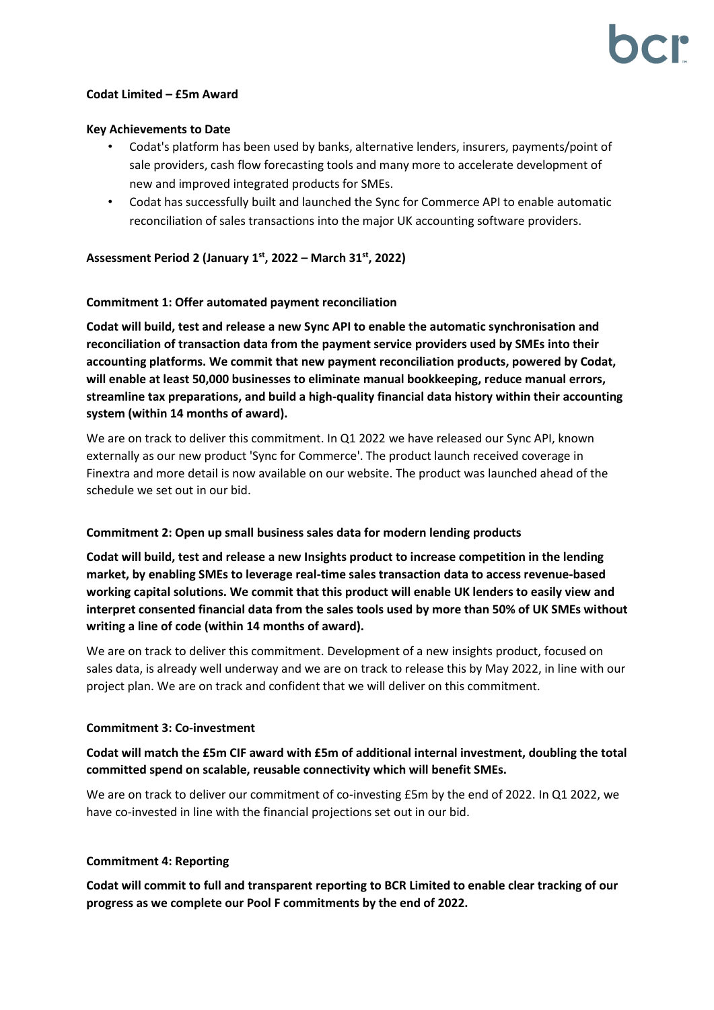### **Codat Limited – £5m Award**

#### **Key Achievements to Date**

- Codat's platform has been used by banks, alternative lenders, insurers, payments/point of sale providers, cash flow forecasting tools and many more to accelerate development of new and improved integrated products for SMEs.
- Codat has successfully built and launched the Sync for Commerce API to enable automatic reconciliation of sales transactions into the major UK accounting software providers.

**Assessment Period 2 (January 1st , 2022 – March 31st, 2022)**

## **Commitment 1: Offer automated payment reconciliation**

**Codat will build, test and release a new Sync API to enable the automatic synchronisation and reconciliation of transaction data from the payment service providers used by SMEs into their accounting platforms. We commit that new payment reconciliation products, powered by Codat, will enable at least 50,000 businesses to eliminate manual bookkeeping, reduce manual errors, streamline tax preparations, and build a high-quality financial data history within their accounting system (within 14 months of award).** 

We are on track to deliver this commitment. In Q1 2022 we have released our Sync API, known externally as our new product 'Sync for Commerce'. The product launch received coverage in Finextra and more detail is now available on our website. The product was launched ahead of the schedule we set out in our bid.

#### **Commitment 2: Open up small business sales data for modern lending products**

**Codat will build, test and release a new Insights product to increase competition in the lending market, by enabling SMEs to leverage real-time sales transaction data to access revenue-based working capital solutions. We commit that this product will enable UK lenders to easily view and interpret consented financial data from the sales tools used by more than 50% of UK SMEs without writing a line of code (within 14 months of award).** 

We are on track to deliver this commitment. Development of a new insights product, focused on sales data, is already well underway and we are on track to release this by May 2022, in line with our project plan. We are on track and confident that we will deliver on this commitment.

#### **Commitment 3: Co-investment**

# **Codat will match the £5m CIF award with £5m of additional internal investment, doubling the total committed spend on scalable, reusable connectivity which will benefit SMEs.**

We are on track to deliver our commitment of co-investing £5m by the end of 2022. In Q1 2022, we have co-invested in line with the financial projections set out in our bid.

#### **Commitment 4: Reporting**

**Codat will commit to full and transparent reporting to BCR Limited to enable clear tracking of our progress as we complete our Pool F commitments by the end of 2022.**